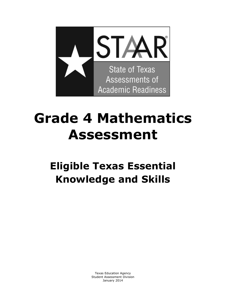

# **Grade 4 Mathematics Assessment**

# **Eligible Texas Essential Knowledge and Skills**

 Texas Education Agency Student Assessment Division January 2014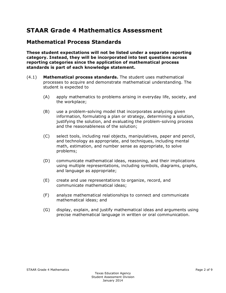# **STAAR Grade 4 Mathematics Assessment**

#### **Mathematical Process Standards**

**These student expectations will not be listed under a separate reporting category. Instead, they will be incorporated into test questions across reporting categories since the application of mathematical process standards is part of each knowledge statement.** 

- (4.1) **Mathematical process standards.** The student uses mathematical processes to acquire and demonstrate mathematical understanding. The student is expected to
	- (A) apply mathematics to problems arising in everyday life, society, and the workplace;
	- (B) use a problem-solving model that incorporates analyzing given information, formulating a plan or strategy, determining a solution, justifying the solution, and evaluating the problem-solving process and the reasonableness of the solution;
	- (C) select tools, including real objects, manipulatives, paper and pencil, and technology as appropriate, and techniques, including mental math, estimation, and number sense as appropriate, to solve problems;
	- (D) communicate mathematical ideas, reasoning, and their implications using multiple representations, including symbols, diagrams, graphs, and language as appropriate;
	- (E) create and use representations to organize, record, and communicate mathematical ideas;
	- (F) analyze mathematical relationships to connect and communicate mathematical ideas; and
	- (G) display, explain, and justify mathematical ideas and arguments using precise mathematical language in written or oral communication.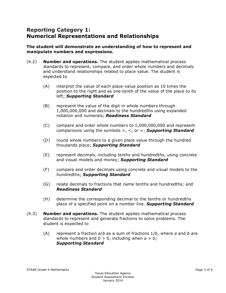## **Reporting Category 1: Numerical Representations and Relationships**

#### **The student will demonstrate an understanding of how to represent and manipulate numbers and expressions.**

- (4.2) **Number and operations.** The student applies mathematical process standards to represent, compare, and order whole numbers and decimals and understand relationships related to place value. The student is expected to
	- (A) interpret the value of each place-value position as 10 times the position to the right and as one-tenth of the value of the place to its left; *Supporting Standard*
	- (B) represent the value of the digit in whole numbers through 1,000,000,000 and decimals to the hundredths using expanded notation and numerals; *Readiness Standard*
	- (C) compare and order whole numbers to 1,000,000,000 and represent comparisons using the symbols >, <, or =; *Supporting Standard*
	- (D) round whole numbers to a given place value through the hundred thousands place; *Supporting Standard*
	- (E) represent decimals, including tenths and hundredths, using concrete and visual models and money; *Supporting Standard*
	- (F) compare and order decimals using concrete and visual models to the hundredths; *Supporting Standard*
	- (G) relate decimals to fractions that name tenths and hundredths; and *Readiness Standard*
	- (H) determine the corresponding decimal to the tenths or hundredths place of a specified point on a number line. *Supporting Standard*
- (4.3) **Number and operations.** The student applies mathematical process standards to represent and generate fractions to solve problems. The student is expected to
	- (A) represent a fraction  $a/b$  as a sum of fractions  $1/b$ , where a and b are whole numbers and  $b > 0$ , including when  $a > b$ ; *Supporting Standard*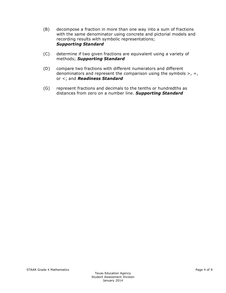- (B) decompose a fraction in more than one way into a sum of fractions with the same denominator using concrete and pictorial models and recording results with symbolic representations; *Supporting Standard*
- (C) determine if two given fractions are equivalent using a variety of methods; *Supporting Standard*
- (D) compare two fractions with different numerators and different denominators and represent the comparison using the symbols  $>$ ,  $=$ , or <; and *Readiness Standard*
- (G) represent fractions and decimals to the tenths or hundredths as distances from zero on a number line. *Supporting Standard*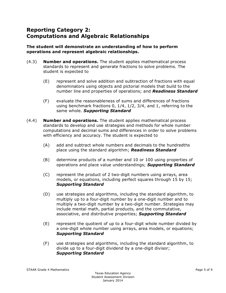# **Reporting Category 2: Computations and Algebraic Relationships**

#### **The student will demonstrate an understanding of how to perform operations and represent algebraic relationships.**

- (4.3) **Number and operations.** The student applies mathematical process standards to represent and generate fractions to solve problems. The student is expected to
	- (E) represent and solve addition and subtraction of fractions with equal denominators using objects and pictorial models that build to the number line and properties of operations; and *Readiness Standard*
	- (F) evaluate the reasonableness of sums and differences of fractions using benchmark fractions 0, 1/4, 1/2, 3/4, and 1, referring to the same whole. *Supporting Standard*
- (4.4) **Number and operations.** The student applies mathematical process standards to develop and use strategies and methods for whole number computations and decimal sums and differences in order to solve problems with efficiency and accuracy. The student is expected to
	- (A) add and subtract whole numbers and decimals to the hundredths place using the standard algorithm; *Readiness Standard*
	- (B) determine products of a number and 10 or 100 using properties of operations and place value understandings; *Supporting Standard*
	- (C) represent the product of 2 two-digit numbers using arrays, area models, or equations, including perfect squares through 15 by 15; *Supporting Standard*
	- (D) use strategies and algorithms, including the standard algorithm, to multiply up to a four-digit number by a one-digit number and to multiply a two-digit number by a two-digit number. Strategies may include mental math, partial products, and the commutative, associative, and distributive properties; *Supporting Standard*
	- (E) represent the quotient of up to a four-digit whole number divided by a one-digit whole number using arrays, area models, or equations; *Supporting Standard*
	- (F) use strategies and algorithms, including the standard algorithm, to divide up to a four-digit dividend by a one-digit divisor; *Supporting Standard*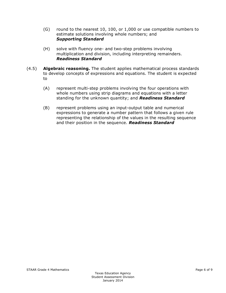- (G) round to the nearest 10, 100, or 1,000 or use compatible numbers to estimate solutions involving whole numbers; and *Supporting Standard*
- (H) solve with fluency one- and two-step problems involving multiplication and division, including interpreting remainders. *Readiness Standard*
- (4.5) **Algebraic reasoning.** The student applies mathematical process standards to develop concepts of expressions and equations. The student is expected to
	- (A) represent multi-step problems involving the four operations with whole numbers using strip diagrams and equations with a letter standing for the unknown quantity; and *Readiness Standard*
	- (B) represent problems using an input-output table and numerical expressions to generate a number pattern that follows a given rule representing the relationship of the values in the resulting sequence and their position in the sequence. *Readiness Standard*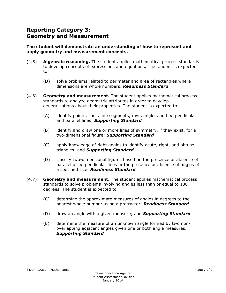# **Reporting Category 3: Geometry and Measurement**

#### **The student will demonstrate an understanding of how to represent and apply geometry and measurement concepts.**

- (4.5) **Algebraic reasoning.** The student applies mathematical process standards to develop concepts of expressions and equations. The student is expected to
	- (D) solve problems related to perimeter and area of rectangles where dimensions are whole numbers. *Readiness Standard*
- (4.6) **Geometry and measurement.** The student applies mathematical process standards to analyze geometric attributes in order to develop generalizations about their properties. The student is expected to
	- (A) identify points, lines, line segments, rays, angles, and perpendicular and parallel lines; *Supporting Standard*
	- (B) identify and draw one or more lines of symmetry, if they exist, for a two-dimensional figure; *Supporting Standard*
	- (C) apply knowledge of right angles to identify acute, right, and obtuse triangles; and *Supporting Standard*
	- (D) classify two-dimensional figures based on the presence or absence of parallel or perpendicular lines or the presence or absence of angles of a specified size. *Readiness Standard*
- (4.7) **Geometry and measurement.** The student applies mathematical process standards to solve problems involving angles less than or equal to 180 degrees. The student is expected to
	- (C) determine the approximate measures of angles in degrees to the nearest whole number using a protractor; *Readiness Standard*
	- (D) draw an angle with a given measure; and *Supporting Standard*
	- (E) determine the measure of an unknown angle formed by two nonoverlapping adjacent angles given one or both angle measures. *Supporting Standard*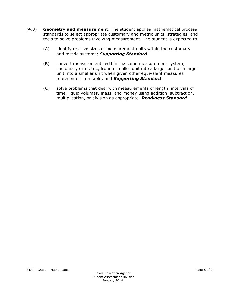- (4.8) **Geometry and measurement.** The student applies mathematical process standards to select appropriate customary and metric units, strategies, and tools to solve problems involving measurement. The student is expected to
	- (A) identify relative sizes of measurement units within the customary and metric systems; *Supporting Standard*
	- (B) convert measurements within the same measurement system, customary or metric, from a smaller unit into a larger unit or a larger unit into a smaller unit when given other equivalent measures represented in a table; and *Supporting Standard*
	- (C) solve problems that deal with measurements of length, intervals of time, liquid volumes, mass, and money using addition, subtraction, multiplication, or division as appropriate. *Readiness Standard*